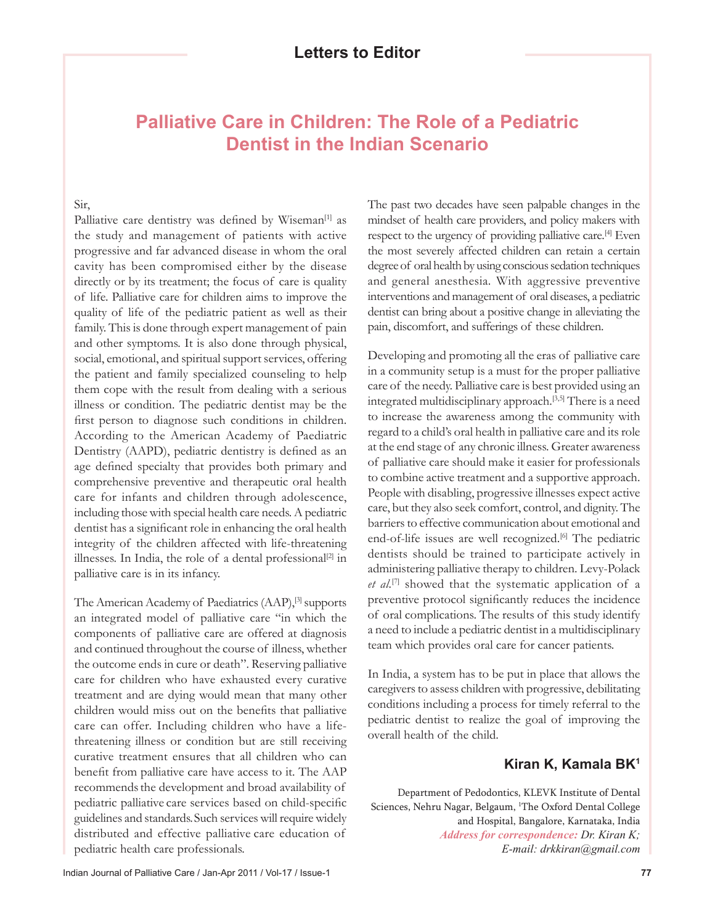## **Palliative Care in Children: The Role of a Pediatric Dentist in the Indian Scenario**

## Sir,

Palliative care dentistry was defined by Wiseman<sup>[1]</sup> as the study and management of patients with active progressive and far advanced disease in whom the oral cavity has been compromised either by the disease directly or by its treatment; the focus of care is quality of life. Palliative care for children aims to improve the quality of life of the pediatric patient as well as their family. This is done through expert management of pain and other symptoms. It is also done through physical, social, emotional, and spiritual support services, offering the patient and family specialized counseling to help them cope with the result from dealing with a serious illness or condition. The pediatric dentist may be the first person to diagnose such conditions in children. According to the American Academy of Paediatric Dentistry (AAPD), pediatric dentistry is defined as an age defined specialty that provides both primary and comprehensive preventive and therapeutic oral health care for infants and children through adolescence, including those with special health care needs. A pediatric dentist has a significant role in enhancing the oral health integrity of the children affected with life-threatening illnesses. In India, the role of a dental professional<sup>[2]</sup> in palliative care is in its infancy.

The American Academy of Paediatrics (AAP),<sup>[3]</sup> supports an integrated model of palliative care "in which the components of palliative care are offered at diagnosis and continued throughout the course of illness, whether the outcome ends in cure or death". Reserving palliative care for children who have exhausted every curative treatment and are dying would mean that many other children would miss out on the benefits that palliative care can offer. Including children who have a lifethreatening illness or condition but are still receiving curative treatment ensures that all children who can benefit from palliative care have access to it. The AAP recommends the development and broad availability of pediatric palliative care services based on child-specific guidelines and standards.Such services will require widely distributed and effective palliative care education of pediatric health care professionals.

The past two decades have seen palpable changes in the mindset of health care providers, and policy makers with respect to the urgency of providing palliative care.<sup>[4]</sup> Even the most severely affected children can retain a certain degree of oral health by using conscious sedation techniques and general anesthesia. With aggressive preventive interventions and management of oral diseases, a pediatric dentist can bring about a positive change in alleviating the pain, discomfort, and sufferings of these children.

Developing and promoting all the eras of palliative care in a community setup is a must for the proper palliative care of the needy. Palliative care is best provided using an integrated multidisciplinary approach.[3,5] There is a need to increase the awareness among the community with regard to a child's oral health in palliative care and its role at the end stage of any chronic illness. Greater awareness of palliative care should make it easier for professionals to combine active treatment and a supportive approach. People with disabling, progressive illnesses expect active care, but they also seek comfort, control, and dignity. The barriers to effective communication about emotional and end-of-life issues are well recognized.<sup>[6]</sup> The pediatric dentists should be trained to participate actively in administering palliative therapy to children. Levy-Polack *et al.*[7] showed that the systematic application of a preventive protocol significantly reduces the incidence of oral complications. The results of this study identify a need to include a pediatric dentist in a multidisciplinary team which provides oral care for cancer patients.

In India, a system has to be put in place that allows the caregivers to assess children with progressive, debilitating conditions including a process for timely referral to the pediatric dentist to realize the goal of improving the overall health of the child.

## **Kiran K, Kamala BK1**

Department of Pedodontics, KLEVK Institute of Dental Sciences, Nehru Nagar, Belgaum, <sup>1</sup>The Oxford Dental College and Hospital, Bangalore, Karnataka, India *Address for correspondence: Dr. Kiran K; E-mail: drkkiran@gmail.com*